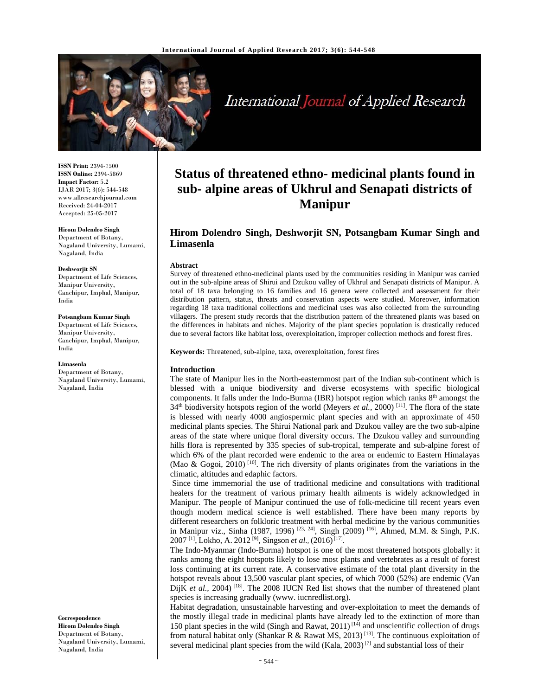

International Journal of Applied Research

**ISSN Print:** 2394-7500 **ISSN Online:** 2394-5869 **Impact Factor:** 5.2 IJAR 2017; 3(6): 544-548 www.allresearchjournal.com Received: 24-04-2017 Accepted: 25-05-2017

## **Hirom Dolendro Singh**

Department of Botany, Nagaland University, Lumami, Nagaland, India

#### **Deshworjit SN**

Department of Life Sciences, Manipur University, Canchipur, Imphal, Manipur, India

#### **Potsangbam Kumar Singh**

Department of Life Sciences, Manipur University, Canchipur, Imphal, Manipur, India

#### **Limasenla**

Department of Botany, Nagaland University, Lumami, Nagaland, India

**Correspondence Hirom Dolendro Singh**  Department of Botany, Nagaland University, Lumami, Nagaland, India

# **Status of threatened ethno- medicinal plants found in sub- alpine areas of Ukhrul and Senapati districts of Manipur**

# **Hirom Dolendro Singh, Deshworjit SN, Potsangbam Kumar Singh and Limasenla**

### **Abstract**

Survey of threatened ethno-medicinal plants used by the communities residing in Manipur was carried out in the sub-alpine areas of Shirui and Dzukou valley of Ukhrul and Senapati districts of Manipur. A total of 18 taxa belonging to 16 families and 16 genera were collected and assessment for their distribution pattern, status, threats and conservation aspects were studied. Moreover, information regarding 18 taxa traditional collections and medicinal uses was also collected from the surrounding villagers. The present study records that the distribution pattern of the threatened plants was based on the differences in habitats and niches. Majority of the plant species population is drastically reduced due to several factors like habitat loss, overexploitation, improper collection methods and forest fires.

**Keywords:** Threatened, sub-alpine, taxa, overexploitation, forest fires

#### **Introduction**

The state of Manipur lies in the North-easternmost part of the Indian sub-continent which is blessed with a unique biodiversity and diverse ecosystems with specific biological components. It falls under the Indo-Burma (IBR) hotspot region which ranks  $8<sup>th</sup>$  amongst the  $34<sup>th</sup>$  biodiversity hotspots region of the world (Meyers *et al.*, 2000)<sup>[11]</sup>. The flora of the state is blessed with nearly 4000 angiospermic plant species and with an approximate of 450 medicinal plants species. The Shirui National park and Dzukou valley are the two sub-alpine areas of the state where unique floral diversity occurs. The Dzukou valley and surrounding hills flora is represented by 335 species of sub-tropical, temperate and sub-alpine forest of which 6% of the plant recorded were endemic to the area or endemic to Eastern Himalayas (Mao & Gogoi, 2010)<sup>[10]</sup>. The rich diversity of plants originates from the variations in the climatic, altitudes and edaphic factors.

 Since time immemorial the use of traditional medicine and consultations with traditional healers for the treatment of various primary health ailments is widely acknowledged in Manipur. The people of Manipur continued the use of folk-medicine till recent years even though modern medical science is well established. There have been many reports by different researchers on folkloric treatment with herbal medicine by the various communities in Manipur viz., Sinha (1987, 1996) <sup>[23, 24]</sup>, Singh (2009) <sup>[16]</sup>, Ahmed, M.M. & Singh, P.K. 2007 [1], Lokho, A. 2012 [9], Singson *et al.,* (2016)[17].

The Indo-Myanmar (Indo-Burma) hotspot is one of the most threatened hotspots globally: it ranks among the eight hotspots likely to lose most plants and vertebrates as a result of forest loss continuing at its current rate. A conservative estimate of the total plant diversity in the hotspot reveals about 13,500 vascular plant species, of which 7000 (52%) are endemic (Van DijK *et al.*, 2004)<sup>[18]</sup>. The 2008 IUCN Red list shows that the number of threatened plant species is increasing gradually (www. iucnredlist.org).

Habitat degradation, unsustainable harvesting and over-exploitation to meet the demands of the mostly illegal trade in medicinal plants have already led to the extinction of more than 150 plant species in the wild (Singh and Rawat,  $2011$ )<sup>[14]</sup> and unscientific collection of drugs from natural habitat only (Shankar R & Rawat MS, 2013)<sup>[13]</sup>. The continuous exploitation of several medicinal plant species from the wild (Kala, 2003)<sup>[7]</sup> and substantial loss of their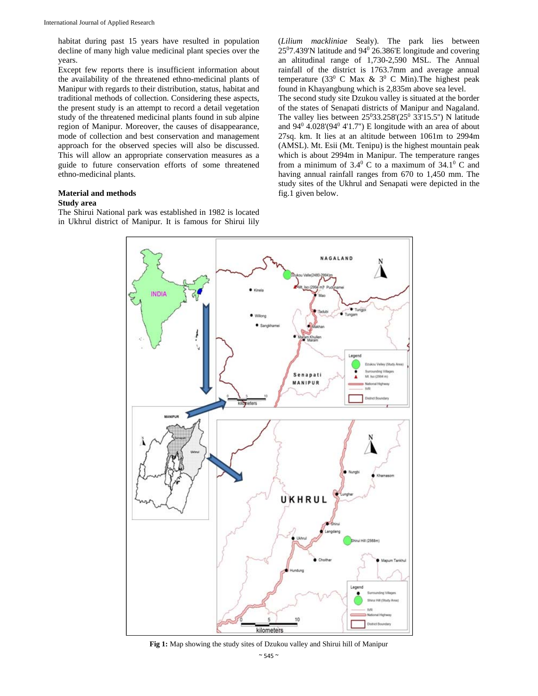habitat during past 15 years have resulted in population decline of many high value medicinal plant species over the years.

Except few reports there is insufficient information about the availability of the threatened ethno-medicinal plants of Manipur with regards to their distribution, status, habitat and traditional methods of collection. Considering these aspects, the present study is an attempt to record a detail vegetation study of the threatened medicinal plants found in sub alpine region of Manipur. Moreover, the causes of disappearance, mode of collection and best conservation and management approach for the observed species will also be discussed. This will allow an appropriate conservation measures as a guide to future conservation efforts of some threatened ethno-medicinal plants.

## **Material and methods**

#### **Study area**

The Shirui National park was established in 1982 is located in Ukhrul district of Manipur. It is famous for Shirui lily

(*Lilium mackliniae* Sealy). The park lies between  $25^{\circ}$ 7.439'N latitude and 94 $^{\circ}$  26.386'E longitude and covering an altitudinal range of 1,730-2,590 MSL. The Annual rainfall of the district is 1763.7mm and average annual temperature (33<sup>0</sup> C Max & 3<sup>0</sup> C Min). The highest peak found in Khayangbung which is 2,835m above sea level. The second study site Dzukou valley is situated at the border of the states of Senapati districts of Manipur and Nagaland. The valley lies between  $25^033.258'(25^033'15.5'')$  N latitude and  $94^0$  4.028'( $94^0$  4'1.7") E longitude with an area of about 27sq. km. It lies at an altitude between 1061m to 2994m (AMSL). Mt. Esii (Mt. Tenipu) is the highest mountain peak which is about 2994m in Manipur. The temperature ranges from a minimum of  $3.4^{\circ}$  C to a maximum of  $34.1^{\circ}$  C and having annual rainfall ranges from 670 to 1,450 mm. The study sites of the Ukhrul and Senapati were depicted in the fig.1 given below.



**Fig 1:** Map showing the study sites of Dzukou valley and Shirui hill of Manipur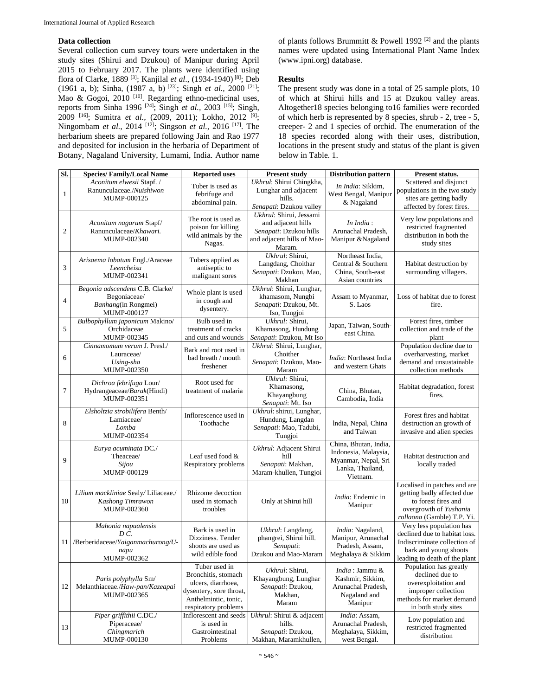## **Data collection**

Several collection cum survey tours were undertaken in the study sites (Shirui and Dzukou) of Manipur during April 2015 to February 2017. The plants were identified using flora of Clarke, 1889 [3]; Kanjilal *et al*., (1934-1940) [8]; Deb (1961 a, b); Sinha, (1987 a, b) [23]; Singh *et al.,* 2000 [21]; Mao & Gogoi, 2010<sup>[10]</sup>. Regarding ethno-medicinal uses, reports from Sinha 1996 [24]; Singh *et al.,* 2003 [15]; Singh, 2009 [16]; Sumitra *et al.,* (2009, 2011); Lokho, 2012 [9]; Ningombam *et al.,* 2014 [12]; Singson *et al.,* 2016 [17]. The herbarium sheets are prepared following Jain and Rao 1977 and deposited for inclusion in the herbaria of Department of Botany, Nagaland University, Lumami, India. Author name

of plants follows Brummitt & Powell 1992<sup>[2]</sup> and the plants names were updated using International Plant Name Index (www.ipni.org) database.

## **Results**

The present study was done in a total of 25 sample plots, 10 of which at Shirui hills and 15 at Dzukou valley areas. Altogether18 species belonging to16 families were recorded of which herb is represented by 8 species, shrub - 2, tree - 5, creeper- 2 and 1 species of orchid. The enumeration of the 18 species recorded along with their uses, distribution, locations in the present study and status of the plant is given below in Table. 1.

| SI.              | <b>Species/Family/Local Name</b>                                                       | <b>Reported uses</b>                                                                                                                  | <b>Present study</b>                                                                                            | <b>Distribution pattern</b>                                                                          | Present status.                                                                                                                                     |
|------------------|----------------------------------------------------------------------------------------|---------------------------------------------------------------------------------------------------------------------------------------|-----------------------------------------------------------------------------------------------------------------|------------------------------------------------------------------------------------------------------|-----------------------------------------------------------------------------------------------------------------------------------------------------|
| $\mathbf{1}$     | Aconitum elwesii Stapf. /<br>Ranunculaceae./Nuishiwon<br>MUMP-000125                   | Tuber is used as<br>febrifuge and<br>abdominal pain.                                                                                  | Ukhrul: Shirui Chingkha,<br>Lunghar and adjacent<br>hills.<br>Senapati: Dzukou valley                           | In India: Sikkim,<br>West Bengal, Manipur<br>& Nagaland                                              | Scattered and disjunct<br>populations in the two study<br>sites are getting badly<br>affected by forest fires.                                      |
| $\overline{c}$   | Aconitum nagarum Stapf/<br>Ranunculaceae/Khawari.<br>MUMP-002340                       | The root is used as<br>poison for killing<br>wild animals by the<br>Nagas.                                                            | Ukhrul: Shirui, Jessami<br>and adjacent hills<br>Senapati: Dzukou hills<br>and adjacent hills of Mao-<br>Maram. | In India:<br>Arunachal Pradesh.<br>Manipur & Nagaland                                                | Very low populations and<br>restricted fragmented<br>distribution in both the<br>study sites                                                        |
| 3                | Arisaema lobatum Engl./Araceae<br>Leencheisu<br>MUMP-002341                            | Tubers applied as<br>antiseptic to<br>malignant sores                                                                                 | Ukhrul: Shirui.<br>Langdang, Choithar<br>Senapati: Dzukou, Mao,<br>Makhan                                       | Northeast India,<br>Central & Southern<br>China, South-east<br>Asian countries                       | Habitat destruction by<br>surrounding villagers.                                                                                                    |
| $\overline{4}$   | Begonia adscendens C.B. Clarke/<br>Begoniaceae/<br>Banhang(in Rongmei)<br>MUMP-000127  | Whole plant is used<br>in cough and<br>dysentery.                                                                                     | Ukhrul: Shirui, Lunghar,<br>khamasom, Nungbi<br>Senapati: Dzukou, Mt.<br>Iso, Tungjoi                           | Assam to Myanmar,<br>S. Laos                                                                         | Loss of habitat due to forest<br>fire.                                                                                                              |
| 5                | Bulbophyllum japonicum Makino/<br>Orchidaceae<br>MUMP-002345                           | Bulb used in<br>treatment of cracks<br>and cuts and wounds                                                                            | Ukhrul: Shirui,<br>Khamasong, Hundung<br>Senapati: Dzukou, Mt Iso                                               | Japan, Taiwan, South-<br>east China.                                                                 | Forest fires, timber<br>collection and trade of the<br>plant                                                                                        |
| 6                | Cinnamomum verum J. Presl./<br>Lauraceae/<br>Using-sha<br>MUMP-002350                  | Bark and root used in<br>bad breath / mouth<br>freshener                                                                              | Ukhrul: Shirui, Lunghar,<br>Choither<br>Senapati: Dzukou, Mao-<br>Maram                                         | India: Northeast India<br>and western Ghats                                                          | Population decline due to<br>overharvesting, market<br>demand and unsustainable<br>collection methods                                               |
| $\boldsymbol{7}$ | Dichroa febrifuga Lour/<br>Hydrangeaceae/Barak(Hindi)<br>MUMP-002351                   | Root used for<br>treatment of malaria                                                                                                 | Ukhrul: Shirui.<br>Khamasong,<br>Khayangbung<br>Senapati: Mt. Iso                                               | China, Bhutan,<br>Cambodia, India                                                                    | Habitat degradation, forest<br>fires.                                                                                                               |
| 8                | Elsholtzia strobilifera Benth/<br>Lamiaceae/<br>Lomba<br>MUMP-002354                   | Inflorescence used in<br>Toothache                                                                                                    | Ukhrul: shirui, Lunghar,<br>Hundung, Langdan<br>Senapati: Mao, Tadubi,<br>Tungjoi                               | India, Nepal, China<br>and Taiwan                                                                    | Forest fires and habitat<br>destruction an growth of<br>invasive and alien species                                                                  |
| 9                | Eurya acuminata DC./<br>Theaceae/<br>Sijou<br>MUMP-000129                              | Leaf used food &<br>Respiratory problems                                                                                              | Ukhrul: Adjacent Shirui<br>hill<br>Senapati: Makhan,<br>Maram-khullen, Tungjoi                                  | China, Bhutan, India,<br>Indonesia, Malaysia,<br>Myanmar, Nepal, Sri<br>Lanka, Thailand,<br>Vietnam. | Habitat destruction and<br>locally traded                                                                                                           |
| 10               | Lilium mackliniae Sealy/Liliaceae./<br>Kashong Timrawon<br>MUMP-002360                 | Rhizome decoction<br>used in stomach<br>troubles                                                                                      | Only at Shirui hill                                                                                             | India: Endemic in<br>Manipur                                                                         | Localised in patches and are<br>getting badly affected due<br>to forest fires and<br>overgrowth of Yushania<br>rollaona (Gamble) T.P. Yi.           |
| 11               | Mahonia napualensis<br>DC.<br>/Berberidaceae/Yaiganmachurong/U-<br>napu<br>MUMP-002362 | Bark is used in<br>Dizziness. Tender<br>shoots are used as<br>wild edible food                                                        | Ukhrul: Langdang,<br>phangrei, Shirui hill.<br>Senapati:<br>Dzukou and Mao-Maram                                | India: Nagaland,<br>Manipur, Arunachal<br>Pradesh, Assam,<br>Meghalaya & Sikkim                      | Very less population has<br>declined due to habitat loss.<br>Indiscriminate collection of<br>bark and young shoots<br>leading to death of the plant |
| 12               | Paris polyphylla Sm/<br>Melanthiaceae./Haw-pan/Kazeapai<br>MUMP-002365                 | Tuber used in<br>Bronchitis, stomach<br>ulcers, diarrhoea,<br>dysentery, sore throat,<br>Anthelmintic, tonic,<br>respiratory problems | Ukhrul: Shirui,<br>Khayangbung, Lunghar<br>Senapati: Dzukou,<br>Makhan,<br>Maram                                | India: Jammu &<br>Kashmir, Sikkim,<br>Arunachal Pradesh,<br>Nagaland and<br>Manipur                  | Population has greatly<br>declined due to<br>overexploitation and<br>improper collection<br>methods for market demand<br>in both study sites        |
| 13               | Piper griffithii C.DC./<br>Piperaceae/<br>Chingmarich<br>MUMP-000130                   | Inflorescent and seeds<br>is used in<br>Gastrointestinal<br>Problems                                                                  | Ukhrul: Shirui & adjacent<br>hills.<br>Senapati: Dzukou,<br>Makhan, Maramkhullen,                               | India: Assam,<br>Arunachal Pradesh,<br>Meghalaya, Sikkim,<br>west Bengal.                            | Low population and<br>restricted fragmented<br>distribution                                                                                         |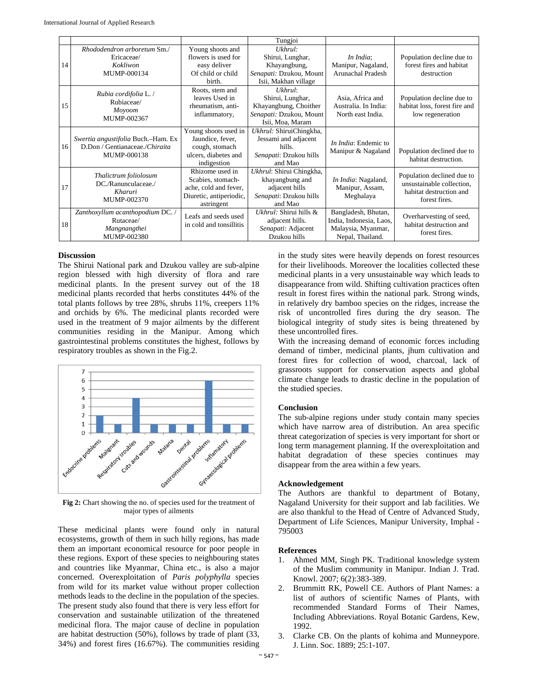|    |                                                                                     |                                                                                                        | Tungjoi                                                                                             |                                                                                          |                                                                                                     |
|----|-------------------------------------------------------------------------------------|--------------------------------------------------------------------------------------------------------|-----------------------------------------------------------------------------------------------------|------------------------------------------------------------------------------------------|-----------------------------------------------------------------------------------------------------|
| 14 | Rhododendron arboretum Sm./<br>Ericaceae/<br>Kokliwon<br>MUMP-000134                | Young shoots and<br>flowers is used for<br>easy deliver<br>Of child or child<br>birth.                 | Ukhrul:<br>Shirui, Lunghar,<br>Khayangbung,<br>Senapati: Dzukou, Mount<br>Isii, Makhan village      | In India:<br>Manipur, Nagaland,<br>Arunachal Pradesh                                     | Population decline due to<br>forest fires and habitat<br>destruction                                |
| 15 | Rubia cordifolia L. /<br>Rubiaceae/<br>Moyoom<br>MUMP-002367                        | Roots, stem and<br>leaves Used in<br>rheumatism, anti-<br>inflammatory,                                | Ukhrul:<br>Shirui, Lunghar,<br>Khayangbung, Choither<br>Senapati: Dzukou, Mount<br>Isii, Moa, Maram | Asia, Africa and<br>Australia. In India:<br>North east India.                            | Population decline due to<br>habitat loss, forest fire and<br>low regeneration                      |
| 16 | Swertia angustifolia Buch.-Ham. Ex<br>D.Don / Gentianaceae./Chiraita<br>MUMP-000138 | Young shoots used in<br>Jaundice, fever,<br>cough, stomach<br>ulcers, diabetes and<br>indigestion      | Ukhrul: ShiruiChingkha,<br>Jessami and adjacent<br>hills.<br>Senapati: Dzukou hills<br>and Mao      | In India: Endemic to<br>Manipur & Nagaland                                               | Population declined due to<br>habitat destruction.                                                  |
| 17 | Thalictrum foliolosum<br>DC./Ranunculaceae./<br>Kharuri<br>MUMP-002370              | Rhizome used in<br>Scabies, stomach-<br>ache, cold and fever,<br>Diuretic, antiperiodic,<br>astringent | Ukhrul: Shirui Chingkha,<br>khayangbung and<br>adjacent hills<br>Senapati: Dzukou hills<br>and Mao  | In India: Nagaland,<br>Manipur, Assam,<br>Meghalaya                                      | Population declined due to<br>unsustainable collection.<br>habitat destruction and<br>forest fires. |
| 18 | Zanthoxyllum acanthopodium DC. /<br>Rutaceae/<br>Mangnangthei<br>MUMP-002380        | Leafs and seeds used<br>in cold and tonsillitis                                                        | Ukhrul: Shirui hills &<br>adjacent hills.<br>Senapati: Adjacent<br>Dzukou hills                     | Bangladesh, Bhutan,<br>India, Indonesia, Laos,<br>Malaysia, Myanmar,<br>Nepal, Thailand. | Overharvesting of seed,<br>habitat destruction and<br>forest fires.                                 |

## **Discussion**

The Shirui National park and Dzukou valley are sub-alpine region blessed with high diversity of flora and rare medicinal plants. In the present survey out of the 18 medicinal plants recorded that herbs constitutes 44% of the total plants follows by tree 28%, shrubs 11%, creepers 11% and orchids by 6%. The medicinal plants recorded were used in the treatment of 9 major ailments by the different communities residing in the Manipur. Among which gastrointestinal problems constitutes the highest, follows by respiratory troubles as shown in the Fig.2.



**Fig 2:** Chart showing the no. of species used for the treatment of major types of ailments

These medicinal plants were found only in natural ecosystems, growth of them in such hilly regions, has made them an important economical resource for poor people in these regions. Export of these species to neighbouring states and countries like Myanmar, China etc., is also a major concerned. Overexploitation of *Paris polyphylla* species from wild for its market value without proper collection methods leads to the decline in the population of the species. The present study also found that there is very less effort for conservation and sustainable utilization of the threatened medicinal flora. The major cause of decline in population are habitat destruction (50%), follows by trade of plant (33, 34%) and forest fires (16.67%). The communities residing

in the study sites were heavily depends on forest resources for their livelihoods. Moreover the localities collected these medicinal plants in a very unsustainable way which leads to disappearance from wild. Shifting cultivation practices often result in forest fires within the national park. Strong winds, in relatively dry bamboo species on the ridges, increase the risk of uncontrolled fires during the dry season. The biological integrity of study sites is being threatened by these uncontrolled fires.

With the increasing demand of economic forces including demand of timber, medicinal plants, jhum cultivation and forest fires for collection of wood, charcoal, lack of grassroots support for conservation aspects and global climate change leads to drastic decline in the population of the studied species.

#### **Conclusion**

The sub-alpine regions under study contain many species which have narrow area of distribution. An area specific threat categorization of species is very important for short or long term management planning. If the overexploitation and habitat degradation of these species continues may disappear from the area within a few years.

## **Acknowledgement**

The Authors are thankful to department of Botany, Nagaland University for their support and lab facilities. We are also thankful to the Head of Centre of Advanced Study, Department of Life Sciences, Manipur University, Imphal - 795003

## **References**

- 1. Ahmed MM, Singh PK. Traditional knowledge system of the Muslim community in Manipur. Indian J. Trad. Knowl. 2007; 6(2):383-389.
- 2. Brummitt RK, Powell CE. Authors of Plant Names: a list of authors of scientific Names of Plants, with recommended Standard Forms of Their Names, Including Abbreviations. Royal Botanic Gardens, Kew, 1992.
- 3. Clarke CB. On the plants of kohima and Munneypore. J. Linn. Soc. 1889; 25:1-107.